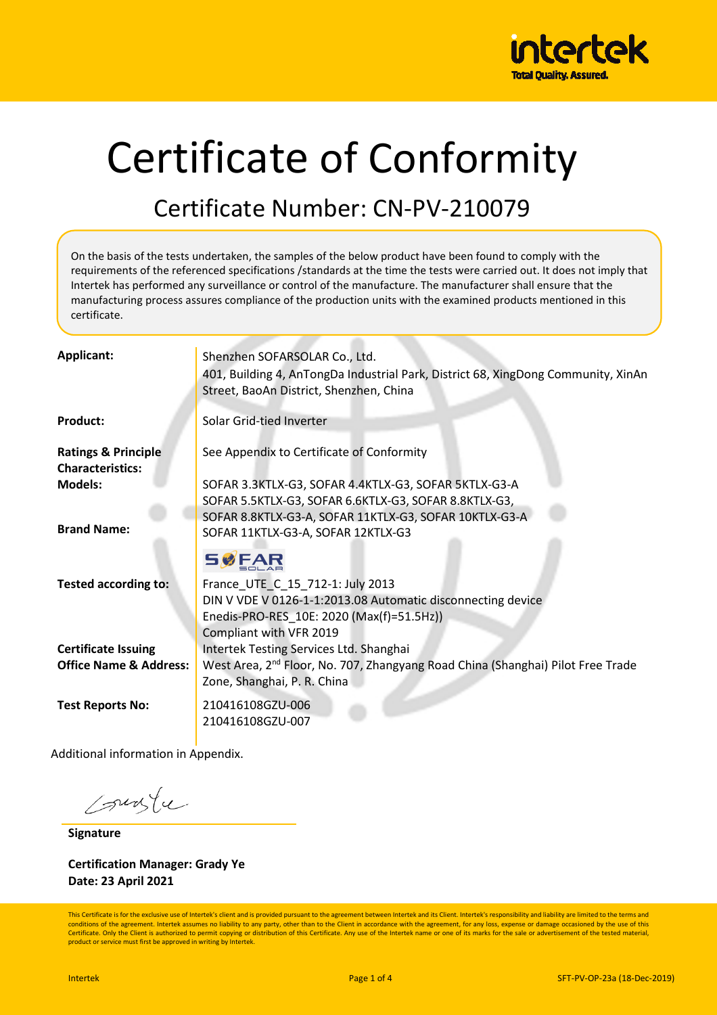

# Certificate of Conformity

## Certificate Number: CN-PV-210079

On the basis of the tests undertaken, the samples of the below product have been found to comply with the requirements of the referenced specifications /standards at the time the tests were carried out. It does not imply that Intertek has performed any surveillance or control of the manufacture. The manufacturer shall ensure that the manufacturing process assures compliance of the production units with the examined products mentioned in this certificate.

| Applicant:                                                      | Shenzhen SOFARSOLAR Co., Ltd.<br>401, Building 4, AnTongDa Industrial Park, District 68, XingDong Community, XinAn<br>Street, BaoAn District, Shenzhen, China           |
|-----------------------------------------------------------------|-------------------------------------------------------------------------------------------------------------------------------------------------------------------------|
| <b>Product:</b>                                                 | Solar Grid-tied Inverter                                                                                                                                                |
| <b>Ratings &amp; Principle</b><br><b>Characteristics:</b>       | See Appendix to Certificate of Conformity                                                                                                                               |
| <b>Models:</b>                                                  | SOFAR 3.3KTLX-G3, SOFAR 4.4KTLX-G3, SOFAR 5KTLX-G3-A<br>SOFAR 5.5KTLX-G3, SOFAR 6.6KTLX-G3, SOFAR 8.8KTLX-G3,<br>SOFAR 8.8KTLX-G3-A, SOFAR 11KTLX-G3, SOFAR 10KTLX-G3-A |
| <b>Brand Name:</b>                                              | SOFAR 11KTLX-G3-A, SOFAR 12KTLX-G3<br><b>SØFAR</b>                                                                                                                      |
| <b>Tested according to:</b>                                     | France_UTE_C_15_712-1: July 2013<br>DIN V VDE V 0126-1-1:2013.08 Automatic disconnecting device<br>Enedis-PRO-RES_10E: 2020 (Max(f)=51.5Hz))<br>Compliant with VFR 2019 |
| <b>Certificate Issuing</b><br><b>Office Name &amp; Address:</b> | Intertek Testing Services Ltd. Shanghai<br>West Area, 2 <sup>nd</sup> Floor, No. 707, Zhangyang Road China (Shanghai) Pilot Free Trade<br>Zone, Shanghai, P. R. China   |
| <b>Test Reports No:</b>                                         | 210416108GZU-006<br>210416108GZU-007                                                                                                                                    |

Additional information in Appendix.

Courte

**Signature**

**Certification Manager: Grady Ye Date: 23 April 2021**

This Certificate is for the exclusive use of Intertek's client and is provided pursuant to the agreement between Intertek and its Client. Intertek's responsibility and liability are limited to the terms and conditions of the agreement. Intertek assumes no liability to any party, other than to the Client in accordance with the agreement, for any loss, expense or damage occasioned by the use of this Certificate. Only the Client is authorized to permit copying or distribution of this Certificate. Any use of the Intertek name or one of its marks for the sale or advertisement of the tested material,<br>product or service mu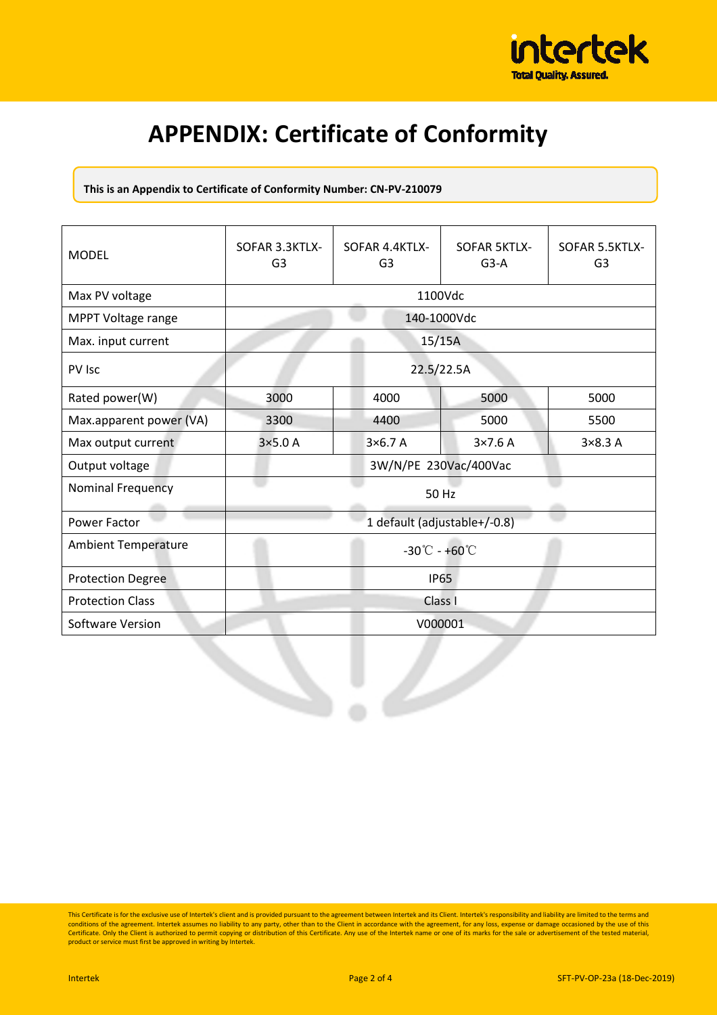

## **APPENDIX: Certificate of Conformity**

**This is an Appendix to Certificate of Conformity Number: CN-PV-210079** 

| <b>MODEL</b>               | SOFAR 3.3KTLX-<br>G <sub>3</sub>   | SOFAR 4.4KTLX-<br>G <sub>3</sub> | <b>SOFAR 5KTLX-</b><br>$G3-A$ | SOFAR 5.5KTLX-<br>G <sub>3</sub> |
|----------------------------|------------------------------------|----------------------------------|-------------------------------|----------------------------------|
| Max PV voltage             | 1100Vdc                            |                                  |                               |                                  |
| MPPT Voltage range         | 140-1000Vdc                        |                                  |                               |                                  |
| Max. input current         | 15/15A                             |                                  |                               |                                  |
| PV Isc                     | 22.5/22.5A                         |                                  |                               |                                  |
| Rated power(W)             | 3000                               | 4000                             | 5000                          | 5000                             |
| Max.apparent power (VA)    | 3300                               | 4400                             | 5000                          | 5500                             |
| Max output current         | $3\times5.0A$                      | 3×6.7 A                          | $3\times7.6$ A                | $3\times8.3A$                    |
| Output voltage             | 3W/N/PE 230Vac/400Vac              |                                  |                               |                                  |
| <b>Nominal Frequency</b>   | 50 Hz                              |                                  |                               |                                  |
| Power Factor               | 1 default (adjustable+/-0.8)       |                                  |                               |                                  |
| <b>Ambient Temperature</b> | $-30^{\circ}$ C - +60 $^{\circ}$ C |                                  |                               |                                  |
| <b>Protection Degree</b>   | <b>IP65</b>                        |                                  |                               |                                  |
| <b>Protection Class</b>    | Class I                            |                                  |                               |                                  |
| Software Version           | V000001                            |                                  |                               |                                  |
|                            |                                    |                                  |                               |                                  |

This Certificate is for the exclusive use of Intertek's client and is provided pursuant to the agreement between Intertek and its Client. Intertek's responsibility and liability are limited to the terms and<br>conditions of t Certificate. Only the Client is authorized to permit copying or distribution of this Certificate. Any use of the Intertek name or one of its marks for the sale or advertisement of the tested material,<br>product or service mu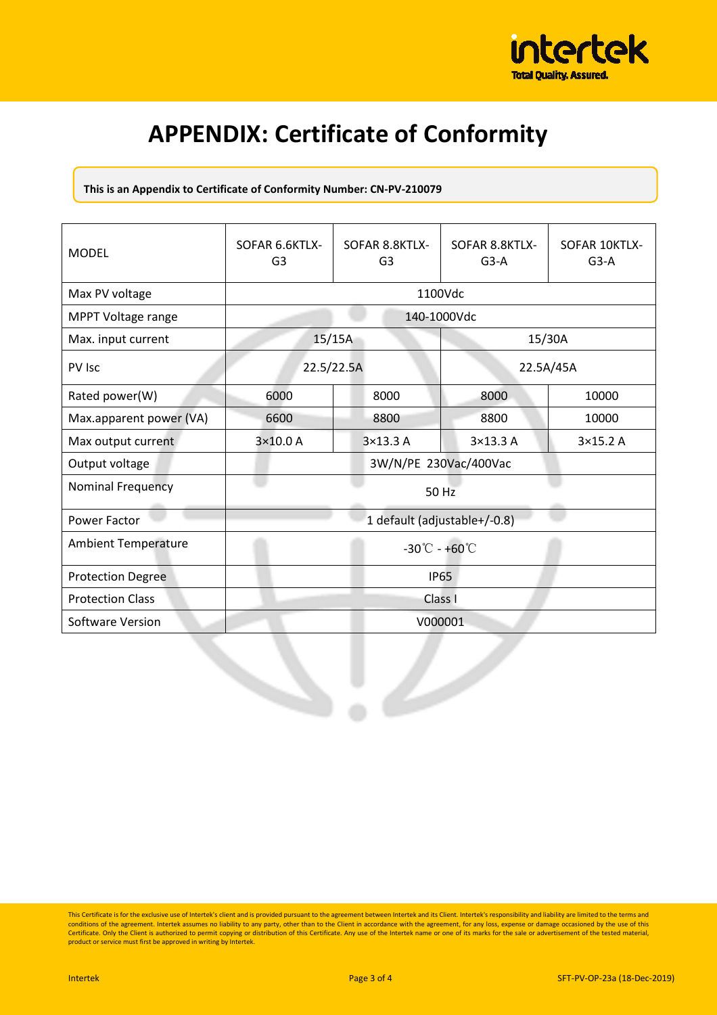

## **APPENDIX: Certificate of Conformity**

**This is an Appendix to Certificate of Conformity Number: CN-PV-210079** 

| <b>MODEL</b>               | SOFAR 6.6KTLX-<br>G <sub>3</sub>   | SOFAR 8.8KTLX-<br>G <sub>3</sub> | SOFAR 8.8KTLX-<br>$G3-A$ | SOFAR 10KTLX-<br>$G3-A$ |
|----------------------------|------------------------------------|----------------------------------|--------------------------|-------------------------|
| Max PV voltage             | 1100Vdc                            |                                  |                          |                         |
| MPPT Voltage range         | 140-1000Vdc                        |                                  |                          |                         |
| Max. input current         | 15/15A                             |                                  | 15/30A                   |                         |
| PV Isc                     | 22.5/22.5A                         |                                  | 22.5A/45A                |                         |
| Rated power(W)             | 6000                               | 8000                             | 8000                     | 10000                   |
| Max.apparent power (VA)    | 6600                               | 8800                             | 8800                     | 10000                   |
| Max output current         | 3×10.0 A                           | 3×13.3 A                         | 3×13.3 A                 | 3×15.2 A                |
| Output voltage             | 3W/N/PE 230Vac/400Vac              |                                  |                          |                         |
| <b>Nominal Frequency</b>   | 50 Hz                              |                                  |                          |                         |
| Power Factor               | 1 default (adjustable+/-0.8)       |                                  |                          |                         |
| <b>Ambient Temperature</b> | $-30^{\circ}$ C - +60 $^{\circ}$ C |                                  |                          |                         |
| <b>Protection Degree</b>   | <b>IP65</b>                        |                                  |                          |                         |
| <b>Protection Class</b>    | Class I                            |                                  |                          |                         |
| Software Version           | V000001                            |                                  |                          |                         |
|                            |                                    |                                  |                          |                         |

This Certificate is for the exclusive use of Intertek's client and is provided pursuant to the agreement between Intertek and its Client. Intertek's responsibility and liability are limited to the terms and<br>conditions of t Certificate. Only the Client is authorized to permit copying or distribution of this Certificate. Any use of the Intertek name or one of its marks for the sale or advertisement of the tested material,<br>product or service mu